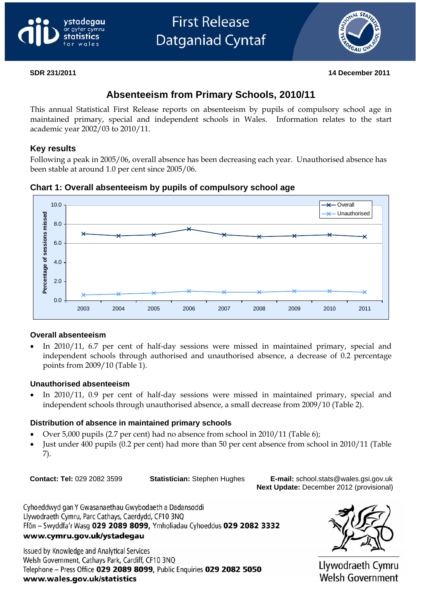# vstadegau avfer cvmru



#### **SDR 231/2011 14 December 2011**

# **Absenteeism from Primary Schools, 2010/11**

This annual Statistical First Release reports on absenteeism by pupils of compulsory school age in maintained primary, special and independent schools in Wales. Information relates to the start academic year 2002/03 to 2010/11.

#### **Key results**

Following a peak in 2005/06, overall absence has been decreasing each year. Unauthorised absence has been stable at around 1.0 per cent since 2005/06.

**Chart 1: Overall absenteeism by pupils of compulsory school age** 



#### **Overall absenteeism**

In 2010/11, 6.7 per cent of half-day sessions were missed in maintained primary, special and independent schools through authorised and unauthorised absence, a decrease of 0.2 percentage points from 2009/10 (Table 1).

#### **Unauthorised absenteeism**

In 2010/11, 0.9 per cent of half-day sessions were missed in maintained primary, special and independent schools through unauthorised absence, a small decrease from 2009/10 (Table 2).

#### **Distribution of absence in maintained primary schools**

- Over 5,000 pupils (2.7 per cent) had no absence from school in 2010/11 (Table 6);
- Just under 400 pupils (0.2 per cent) had more than 50 per cent absence from school in 2010/11 (Table 7).

**Contact: Tel:** 029 2082 3599 **Statistician:** Stephen Hughes **E-mail:** school.stats@wales.gsi.gov.uk **Next Update:** December 2012 (provisional)

Cyhoeddwyd gan Y Gwasanaethau Gwybodaeth a Dadansoddi Llywodraeth Cymru, Parc Cathays, Caerdydd, CF10 3NQ Ffôn - Swyddfa'r Wasg 029 2089 8099, Ymholiadau Cyhoeddus 029 2082 3332 www.cymru.gov.uk/ystadegau

**Issued by Knowledge and Analytical Services** Welsh Government, Cathays Park, Cardiff, CF10 3NQ Telephone - Press Office 029 2089 8099, Public Enquiries 029 2082 5050 www.wales.gov.uk/statistics



Llywodraeth Cymru **Welsh Government**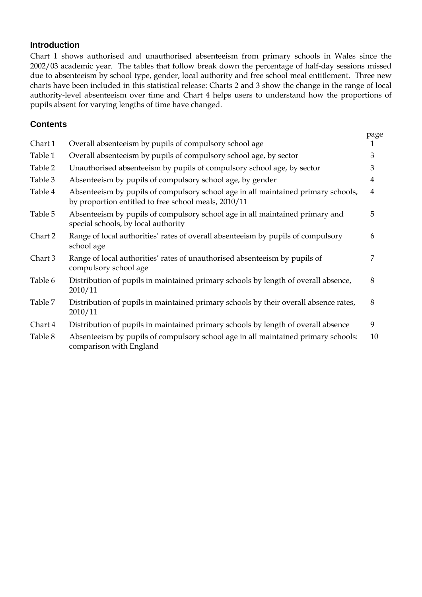#### **Introduction**

Chart 1 shows authorised and unauthorised absenteeism from primary schools in Wales since the 2002/03 academic year. The tables that follow break down the percentage of half-day sessions missed due to absenteeism by school type, gender, local authority and free school meal entitlement. Three new charts have been included in this statistical release: Charts 2 and 3 show the change in the range of local authority-level absenteeism over time and Chart 4 helps users to understand how the proportions of pupils absent for varying lengths of time have changed.

### **Contents**

| Chart 1 | Overall absenteeism by pupils of compulsory school age                                                                                    | page<br>1      |
|---------|-------------------------------------------------------------------------------------------------------------------------------------------|----------------|
|         |                                                                                                                                           |                |
| Table 1 | Overall absenteeism by pupils of compulsory school age, by sector                                                                         | 3              |
| Table 2 | Unauthorised absenteeism by pupils of compulsory school age, by sector                                                                    | 3              |
| Table 3 | Absenteeism by pupils of compulsory school age, by gender                                                                                 | $\overline{4}$ |
| Table 4 | Absenteeism by pupils of compulsory school age in all maintained primary schools,<br>by proportion entitled to free school meals, 2010/11 | $\overline{4}$ |
| Table 5 | Absenteeism by pupils of compulsory school age in all maintained primary and<br>special schools, by local authority                       | 5              |
| Chart 2 | Range of local authorities' rates of overall absenteeism by pupils of compulsory<br>school age                                            | 6              |
| Chart 3 | Range of local authorities' rates of unauthorised absenteeism by pupils of<br>compulsory school age                                       | 7              |
| Table 6 | Distribution of pupils in maintained primary schools by length of overall absence,<br>2010/11                                             | 8              |
| Table 7 | Distribution of pupils in maintained primary schools by their overall absence rates,<br>2010/11                                           | 8              |
| Chart 4 | Distribution of pupils in maintained primary schools by length of overall absence                                                         | 9              |
| Table 8 | Absenteeism by pupils of compulsory school age in all maintained primary schools:<br>comparison with England                              | 10             |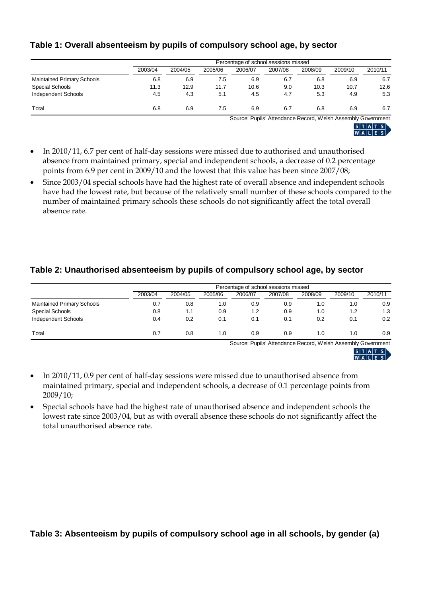|                                   |         | Percentage of school sessions missed |         |         |         |         |         |         |  |
|-----------------------------------|---------|--------------------------------------|---------|---------|---------|---------|---------|---------|--|
|                                   | 2003/04 | 2004/05                              | 2005/06 | 2006/07 | 2007/08 | 2008/09 | 2009/10 | 2010/11 |  |
| <b>Maintained Primary Schools</b> | 6.8     | 6.9                                  | 7.5     | 6.9     | 6.7     | 6.8     | 6.9     | 6.7     |  |
| Special Schools                   | 11.3    | 12.9                                 | 11.7    | 10.6    | 9.0     | 10.3    | 10.7    | 12.6    |  |
| Independent Schools               | 4.5     | 4.3                                  | 5.1     | 4.5     | 4.7     | 5.3     | 4.9     | 5.3     |  |
| Total                             | 6.8     | 6.9                                  | 7.5     | 6.9     | 6.7     | 6.8     | 6.9     | 6.7     |  |

#### **Table 1: Overall absenteeism by pupils of compulsory school age, by sector**

Source: Pupils' Attendance Record, Welsh Assembly Government

|    | ı.        | ж. |  |  |
|----|-----------|----|--|--|
| N. | . .<br>o. |    |  |  |

- In 2010/11, 6.7 per cent of half-day sessions were missed due to authorised and unauthorised absence from maintained primary, special and independent schools, a decrease of 0.2 percentage points from 6.9 per cent in 2009/10 and the lowest that this value has been since 2007/08;
- Since 2003/04 special schools have had the highest rate of overall absence and independent schools have had the lowest rate, but because of the relatively small number of these schools compared to the number of maintained primary schools these schools do not significantly affect the total overall absence rate.

## **Table 2: Unauthorised absenteeism by pupils of compulsory school age, by sector**

|                                   | Percentage of school sessions missed |         |         |         |         |         |         |         |
|-----------------------------------|--------------------------------------|---------|---------|---------|---------|---------|---------|---------|
|                                   | 2003/04                              | 2004/05 | 2005/06 | 2006/07 | 2007/08 | 2008/09 | 2009/10 | 2010/11 |
| <b>Maintained Primary Schools</b> | 0.7                                  | 0.8     | 1.0     | 0.9     | 0.9     | 1.0     | 1.0     | 0.9     |
| Special Schools                   | 0.8                                  | 1.1     | 0.9     | 1.2     | 0.9     | 1.0     | 1.2     | 1.3     |
| Independent Schools               | 0.4                                  | 0.2     | 0.1     | 0.1     | 0.1     | 0.2     | 0.1     | 0.2     |
| Total                             | 0.7                                  | 0.8     | 1.0     | 0.9     | 0.9     | 1.0     | 1.0     | 0.9     |

Source: Pupils' Attendance Record, Welsh Assembly Government



- In 2010/11, 0.9 per cent of half-day sessions were missed due to unauthorised absence from maintained primary, special and independent schools, a decrease of 0.1 percentage points from 2009/10;
- Special schools have had the highest rate of unauthorised absence and independent schools the lowest rate since 2003/04, but as with overall absence these schools do not significantly affect the total unauthorised absence rate.

**Table 3: Absenteeism by pupils of compulsory school age in all schools, by gender (a)**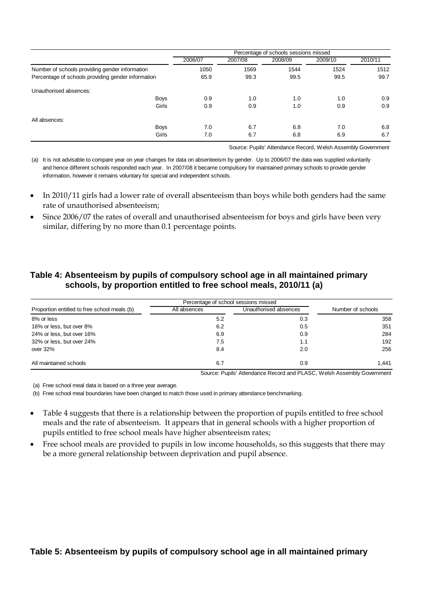|                                                    | Percentage of schools sessions missed |         |         |         |         |  |
|----------------------------------------------------|---------------------------------------|---------|---------|---------|---------|--|
|                                                    | 2006/07                               | 2007/08 | 2008/09 | 2009/10 | 2010/11 |  |
| Number of schools providing gender information     | 1050                                  | 1569    | 1544    | 1524    | 1512    |  |
| Percentage of schools providing gender information | 65.9                                  | 99.3    | 99.5    | 99.5    | 99.7    |  |
| Unauthorised absences:                             |                                       |         |         |         |         |  |
| <b>Boys</b>                                        | 0.9                                   | 1.0     | 1.0     | 1.0     | 0.9     |  |
| Girls                                              | 0.9                                   | 0.9     | 1.0     | 0.9     | 0.9     |  |
| All absences:                                      |                                       |         |         |         |         |  |
| <b>Boys</b>                                        | 7.0                                   | 6.7     | 6.8     | 7.0     | 6.8     |  |
| Girls                                              | 7.0                                   | 6.7     | 6.8     | 6.9     | 6.7     |  |

Source: Pupils' Attendance Record, Welsh Assembly Government

(a) It is not advisable to compare year on year changes for data on absenteeism by gender. Up to 2006/07 the data was supplied voluntarily and hence different schools responded each year. In 2007/08 it became compulsory for maintained primary schools to provide gender information, however it remains voluntary for special and independent schools.

- In 2010/11 girls had a lower rate of overall absenteeism than boys while both genders had the same rate of unauthorised absenteeism;
- Since 2006/07 the rates of overall and unauthorised absenteeism for boys and girls have been very similar, differing by no more than 0.1 percentage points.

#### **Table 4: Absenteeism by pupils of compulsory school age in all maintained primary schools, by proportion entitled to free school meals, 2010/11 (a)**

| Proportion entitled to free school meals (b) | All absences | Unauthorised absences | Number of schools |
|----------------------------------------------|--------------|-----------------------|-------------------|
| 8% or less                                   | 5.2          | 0.3                   | 358               |
| 16% or less, but over 8%                     | 6.2          | 0.5                   | 351               |
| 24% or less, but over 16%                    | 6.9          | 0.9                   | 284               |
| 32% or less, but over 24%                    | 7.5          | 1.1                   | 192               |
| over 32%                                     | 8.4          | 2.0                   | 256               |
| All maintained schools                       | 6.7          | 0.9                   | 1.441             |

Source: Pupils' Attendance Record and PLASC, Welsh Assembly Government

(a) Free school meal data is based on a three year average.

(b) Free school meal boundaries have been changed to match those used in primary attendance benchmarking.

- Table 4 suggests that there is a relationship between the proportion of pupils entitled to free school meals and the rate of absenteeism. It appears that in general schools with a higher proportion of pupils entitled to free school meals have higher absenteeism rates;
- Free school meals are provided to pupils in low income households, so this suggests that there may be a more general relationship between deprivation and pupil absence.

#### **Table 5: Absenteeism by pupils of compulsory school age in all maintained primary**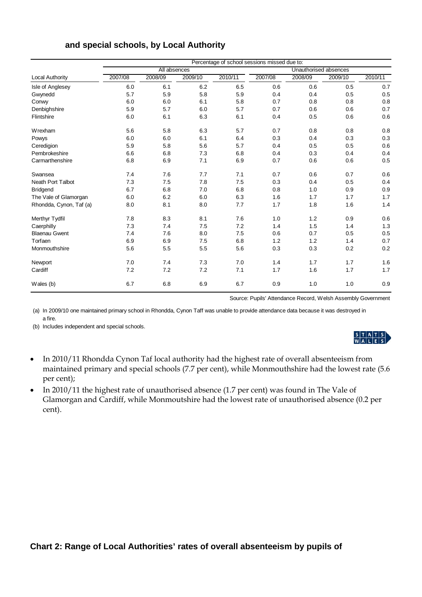|                         | Percentage of school sessions missed due to: |              |         |         |         |                       |         |         |  |  |
|-------------------------|----------------------------------------------|--------------|---------|---------|---------|-----------------------|---------|---------|--|--|
|                         |                                              | All absences |         |         |         | Unauthorised absences |         |         |  |  |
| Local Authority         | 2007/08                                      | 2008/09      | 2009/10 | 2010/11 | 2007/08 | 2008/09               | 2009/10 | 2010/11 |  |  |
| Isle of Anglesey        | 6.0                                          | 6.1          | 6.2     | 6.5     | 0.6     | 0.6                   | 0.5     | 0.7     |  |  |
| Gwynedd                 | 5.7                                          | 5.9          | 5.8     | 5.9     | 0.4     | 0.4                   | 0.5     | 0.5     |  |  |
| Conwy                   | 6.0                                          | 6.0          | 6.1     | 5.8     | 0.7     | 0.8                   | 0.8     | 0.8     |  |  |
| Denbighshire            | 5.9                                          | 5.7          | 6.0     | 5.7     | 0.7     | 0.6                   | 0.6     | 0.7     |  |  |
| Flintshire              | 6.0                                          | 6.1          | 6.3     | 6.1     | 0.4     | 0.5                   | 0.6     | 0.6     |  |  |
| Wrexham                 | 5.6                                          | 5.8          | 6.3     | 5.7     | 0.7     | 0.8                   | 0.8     | 0.8     |  |  |
| Powys                   | 6.0                                          | 6.0          | 6.1     | 6.4     | 0.3     | 0.4                   | 0.3     | 0.3     |  |  |
| Ceredigion              | 5.9                                          | 5.8          | 5.6     | 5.7     | 0.4     | 0.5                   | 0.5     | 0.6     |  |  |
| Pembrokeshire           | 6.6                                          | 6.8          | 7.3     | 6.8     | 0.4     | 0.3                   | 0.4     | 0.4     |  |  |
| Carmarthenshire         | 6.8                                          | 6.9          | 7.1     | 6.9     | 0.7     | 0.6                   | 0.6     | 0.5     |  |  |
| Swansea                 | 7.4                                          | 7.6          | 7.7     | 7.1     | 0.7     | 0.6                   | 0.7     | 0.6     |  |  |
| Neath Port Talbot       | 7.3                                          | 7.5          | 7.8     | 7.5     | 0.3     | 0.4                   | 0.5     | 0.4     |  |  |
| <b>Bridgend</b>         | 6.7                                          | 6.8          | 7.0     | 6.8     | 0.8     | 1.0                   | 0.9     | 0.9     |  |  |
| The Vale of Glamorgan   | 6.0                                          | 6.2          | 6.0     | 6.3     | 1.6     | 1.7                   | 1.7     | 1.7     |  |  |
| Rhondda, Cynon, Taf (a) | 8.0                                          | 8.1          | 8.0     | 7.7     | 1.7     | 1.8                   | 1.6     | 1.4     |  |  |
| Merthyr Tydfil          | 7.8                                          | 8.3          | 8.1     | 7.6     | 1.0     | 1.2                   | 0.9     | 0.6     |  |  |
| Caerphilly              | 7.3                                          | 7.4          | 7.5     | 7.2     | 1.4     | 1.5                   | 1.4     | 1.3     |  |  |
| <b>Blaenau Gwent</b>    | 7.4                                          | 7.6          | 8.0     | 7.5     | 0.6     | 0.7                   | 0.5     | 0.5     |  |  |
| Torfaen                 | 6.9                                          | 6.9          | 7.5     | 6.8     | 1.2     | 1.2                   | 1.4     | 0.7     |  |  |
| Monmouthshire           | 5.6                                          | 5.5          | 5.5     | 5.6     | 0.3     | 0.3                   | 0.2     | 0.2     |  |  |
| Newport                 | 7.0                                          | 7.4          | 7.3     | 7.0     | 1.4     | 1.7                   | 1.7     | 1.6     |  |  |
| Cardiff                 | 7.2                                          | 7.2          | 7.2     | 7.1     | 1.7     | 1.6                   | 1.7     | 1.7     |  |  |
| Wales (b)               | 6.7                                          | 6.8          | 6.9     | 6.7     | 0.9     | 1.0                   | 1.0     | 0.9     |  |  |

#### **and special schools, by Local Authority**

Source: Pupils' Attendance Record, Welsh Assembly Government

(a) In 2009/10 one maintained primary school in Rhondda, Cynon Taff was unable to provide attendance data because it was destroyed in a fire.

(b) Includes independent and special schools.

# $\begin{array}{c|c|c|c|c|c} s & T & A & T & S \\ \hline W & A & L & E & S \\ \end{array}$

- In 2010/11 Rhondda Cynon Taf local authority had the highest rate of overall absenteeism from maintained primary and special schools (7.7 per cent), while Monmouthshire had the lowest rate (5.6 per cent);
- In 2010/11 the highest rate of unauthorised absence (1.7 per cent) was found in The Vale of Glamorgan and Cardiff, while Monmoutshire had the lowest rate of unauthorised absence (0.2 per cent).

## **Chart 2: Range of Local Authorities' rates of overall absenteeism by pupils of**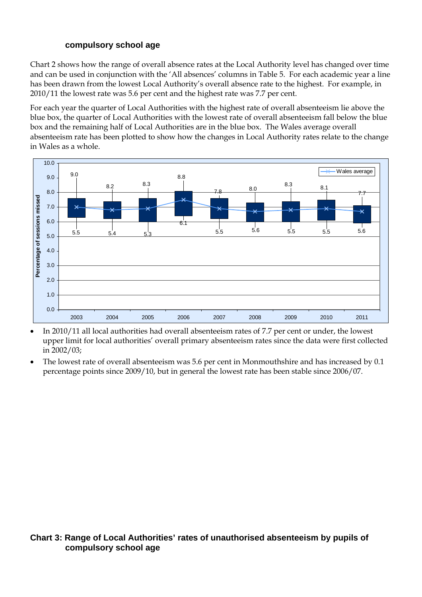#### **compulsory school age**

Chart 2 shows how the range of overall absence rates at the Local Authority level has changed over time and can be used in conjunction with the 'All absences' columns in Table 5. For each academic year a line has been drawn from the lowest Local Authority's overall absence rate to the highest. For example, in 2010/11 the lowest rate was 5.6 per cent and the highest rate was 7.7 per cent.

For each year the quarter of Local Authorities with the highest rate of overall absenteeism lie above the blue box, the quarter of Local Authorities with the lowest rate of overall absenteeism fall below the blue box and the remaining half of Local Authorities are in the blue box. The Wales average overall absenteeism rate has been plotted to show how the changes in Local Authority rates relate to the change in Wales as a whole.



- In 2010/11 all local authorities had overall absenteeism rates of 7.7 per cent or under, the lowest upper limit for local authorities' overall primary absenteeism rates since the data were first collected in 2002/03;
- The lowest rate of overall absenteeism was 5.6 per cent in Monmouthshire and has increased by 0.1 percentage points since 2009/10, but in general the lowest rate has been stable since 2006/07.

## **Chart 3: Range of Local Authorities' rates of unauthorised absenteeism by pupils of compulsory school age**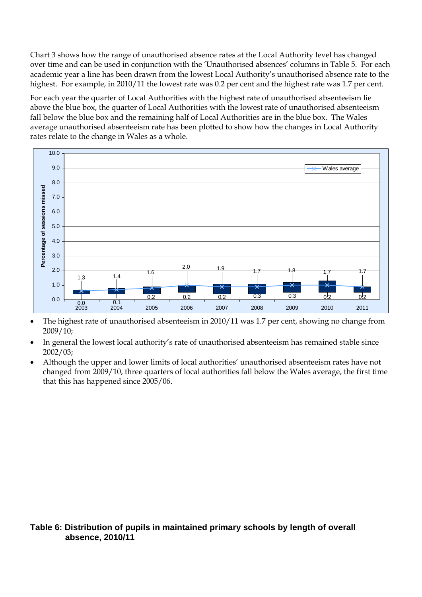Chart 3 shows how the range of unauthorised absence rates at the Local Authority level has changed over time and can be used in conjunction with the 'Unauthorised absences' columns in Table 5. For each academic year a line has been drawn from the lowest Local Authority's unauthorised absence rate to the highest. For example, in 2010/11 the lowest rate was 0.2 per cent and the highest rate was 1.7 per cent.

For each year the quarter of Local Authorities with the highest rate of unauthorised absenteeism lie above the blue box, the quarter of Local Authorities with the lowest rate of unauthorised absenteeism fall below the blue box and the remaining half of Local Authorities are in the blue box. The Wales average unauthorised absenteeism rate has been plotted to show how the changes in Local Authority rates relate to the change in Wales as a whole.



- The highest rate of unauthorised absenteeism in 2010/11 was 1.7 per cent, showing no change from 2009/10;
- In general the lowest local authority's rate of unauthorised absenteeism has remained stable since 2002/03;
- Although the upper and lower limits of local authorities' unauthorised absenteeism rates have not changed from 2009/10, three quarters of local authorities fall below the Wales average, the first time that this has happened since 2005/06.

#### **Table 6: Distribution of pupils in maintained primary schools by length of overall absence, 2010/11**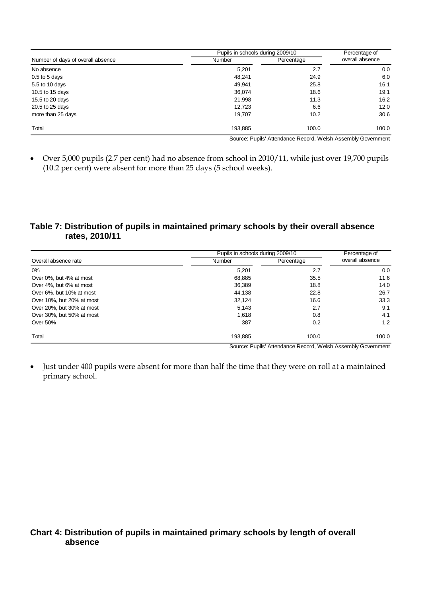|                                   | Pupils in schools during 2009/10 | Percentage of |                 |
|-----------------------------------|----------------------------------|---------------|-----------------|
| Number of days of overall absence | <b>Number</b>                    | Percentage    | overall absence |
| No absence                        | 5.201                            | 2.7           | 0.0             |
| $0.5$ to 5 days                   | 48,241                           | 24.9          | 6.0             |
| 5.5 to 10 days                    | 49,941                           | 25.8          | 16.1            |
| 10.5 to 15 days                   | 36,074                           | 18.6          | 19.1            |
| 15.5 to 20 days                   | 21,998                           | 11.3          | 16.2            |
| 20.5 to 25 days                   | 12,723                           | 6.6           | 12.0            |
| more than 25 days                 | 19,707                           | 10.2          | 30.6            |
| Total                             | 193,885                          | 100.0         | 100.0           |

Source: Pupils' Attendance Record, Welsh Assembly Government 

• Over 5,000 pupils (2.7 per cent) had no absence from school in 2010/11, while just over 19,700 pupils (10.2 per cent) were absent for more than 25 days (5 school weeks).

## **Table 7: Distribution of pupils in maintained primary schools by their overall absence rates, 2010/11**

|                           | Pupils in schools during 2009/10 | Percentage of |                 |  |
|---------------------------|----------------------------------|---------------|-----------------|--|
| Overall absence rate      | <b>Number</b>                    | Percentage    | overall absence |  |
| 0%                        | 5.201                            | 2.7           | 0.0             |  |
| Over 0%, but 4% at most   | 68,885                           | 35.5          | 11.6            |  |
| Over 4%, but 6% at most   | 36,389                           | 18.8          | 14.0            |  |
| Over 6%, but 10% at most  | 44.138                           | 22.8          | 26.7            |  |
| Over 10%, but 20% at most | 32.124                           | 16.6          | 33.3            |  |
| Over 20%, but 30% at most | 5,143                            | 2.7           | 9.1             |  |
| Over 30%, but 50% at most | 1.618                            | 0.8           | 4.1             |  |
| Over 50%                  | 387                              | 0.2           | 1.2             |  |
| Total                     | 193,885                          | 100.0         | 100.0           |  |

Source: Pupils' Attendance Record, Welsh Assembly Government

• Just under 400 pupils were absent for more than half the time that they were on roll at a maintained primary school.

#### **Chart 4: Distribution of pupils in maintained primary schools by length of overall absence**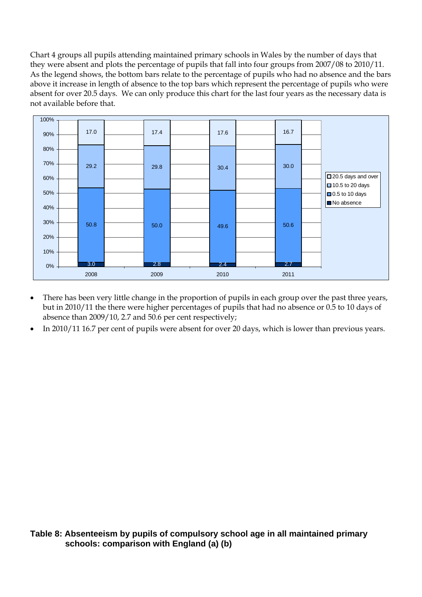Chart 4 groups all pupils attending maintained primary schools in Wales by the number of days that they were absent and plots the percentage of pupils that fall into four groups from 2007/08 to 2010/11. As the legend shows, the bottom bars relate to the percentage of pupils who had no absence and the bars above it increase in length of absence to the top bars which represent the percentage of pupils who were absent for over 20.5 days. We can only produce this chart for the last four years as the necessary data is not available before that.



- There has been very little change in the proportion of pupils in each group over the past three years, but in 2010/11 the there were higher percentages of pupils that had no absence or 0.5 to 10 days of absence than 2009/10, 2.7 and 50.6 per cent respectively;
- In 2010/11 16.7 per cent of pupils were absent for over 20 days, which is lower than previous years.

#### **Table 8: Absenteeism by pupils of compulsory school age in all maintained primary schools: comparison with England (a) (b)**

9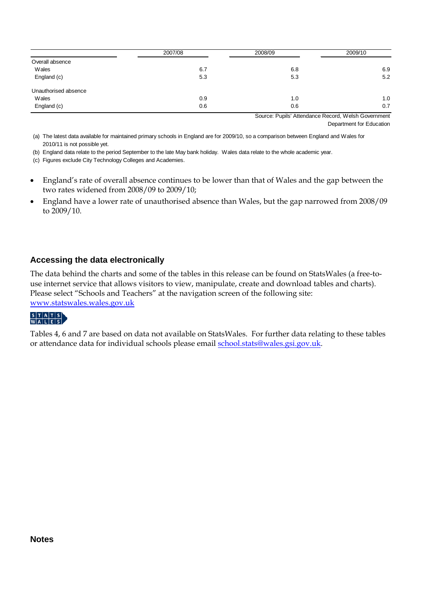|                      | 2007/08 | 2008/09              | 2009/10       |
|----------------------|---------|----------------------|---------------|
| Overall absence      |         |                      |               |
| Wales                | 6.7     | 6.8                  | 6.9           |
| England (c)          | 5.3     | 5.3                  | 5.2           |
| Unauthorised absence |         |                      |               |
| Wales                | 0.9     | 1.0                  | 1.0           |
| England (c)          | 0.6     | 0.6                  | 0.7           |
|                      |         | $\sim$<br>__________ | $\sim$ $\sim$ |

Source: Pupils' Attendance Record, Welsh Government Department for Education

(a) The latest data available for maintained primary schools in England are for 2009/10, so a comparison between England and Wales for 2010/11 is not possible yet.

(b) England data relate to the period September to the late May bank holiday. Wales data relate to the whole academic year.

(c) Figures exclude City Technology Colleges and Academies.

- England's rate of overall absence continues to be lower than that of Wales and the gap between the two rates widened from 2008/09 to 2009/10;
- England have a lower rate of unauthorised absence than Wales, but the gap narrowed from 2008/09 to 2009/10.

#### **Accessing the data electronically**

The data behind the charts and some of the tables in this release can be found on StatsWales (a free-touse internet service that allows visitors to view, manipulate, create and download tables and charts). Please select "Schools and Teachers" at the navigation screen of the following site: [www.statswales.wales.gov.uk](http://www.statswales.wales.gov.uk/index.htm)



Tables 4, 6 and 7 are based on data not available on StatsWales. For further data relating to these tables or attendance data for individual schools please email [school.stats@wales.gsi.gov.uk.](mailto:school.stats@wales.gsi.gov.uk)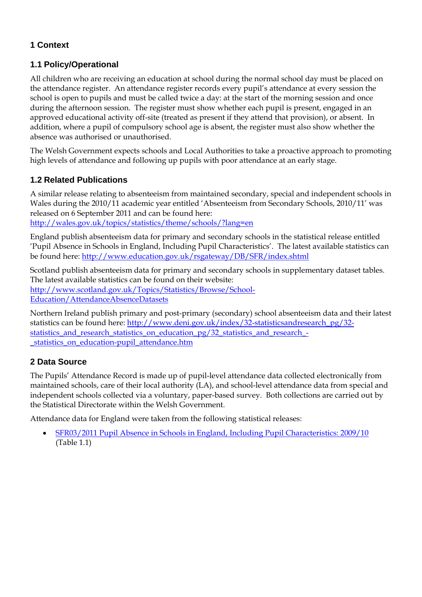## **1 Context**

## **1.1 Policy/Operational**

All children who are receiving an education at school during the normal school day must be placed on the attendance register. An attendance register records every pupil's attendance at every session the school is open to pupils and must be called twice a day: at the start of the morning session and once during the afternoon session. The register must show whether each pupil is present, engaged in an approved educational activity off-site (treated as present if they attend that provision), or absent. In addition, where a pupil of compulsory school age is absent, the register must also show whether the absence was authorised or unauthorised.

The Welsh Government expects schools and Local Authorities to take a proactive approach to promoting high levels of attendance and following up pupils with poor attendance at an early stage.

## **1.2 Related Publications**

A similar release relating to absenteeism from maintained secondary, special and independent schools in Wales during the 2010/11 academic year entitled 'Absenteeism from Secondary Schools, 2010/11' was released on 6 September 2011 and can be found here: <http://wales.gov.uk/topics/statistics/theme/schools/?lang=en>

England publish absenteeism data for primary and secondary schools in the statistical release entitled 'Pupil Absence in Schools in England, Including Pupil Characteristics'. The latest available statistics can be found here: <http://www.education.gov.uk/rsgateway/DB/SFR/index.shtml>

Scotland publish absenteeism data for primary and secondary schools in supplementary dataset tables. The latest available statistics can be found on their website: [http://www.scotland.gov.uk/Topics/Statistics/Browse/School-](http://www.scotland.gov.uk/Topics/Statistics/Browse/School-Education/AttendanceAbsenceDatasets)[Education/AttendanceAbsenceDatasets](http://www.scotland.gov.uk/Topics/Statistics/Browse/School-Education/AttendanceAbsenceDatasets)

Northern Ireland publish primary and post-primary (secondary) school absenteeism data and their latest statistics can be found here: [http://www.deni.gov.uk/index/32-statisticsandresearch\\_pg/32](http://www.deni.gov.uk/index/32-statisticsandresearch_pg/32-statistics_and_research_statistics_on_education_pg/32_statistics_and_research_-_statistics_on_education-pupil_attendance.htm) [statistics\\_and\\_research\\_statistics\\_on\\_education\\_pg/32\\_statistics\\_and\\_research\\_-](http://www.deni.gov.uk/index/32-statisticsandresearch_pg/32-statistics_and_research_statistics_on_education_pg/32_statistics_and_research_-_statistics_on_education-pupil_attendance.htm) [\\_statistics\\_on\\_education-pupil\\_attendance.htm](http://www.deni.gov.uk/index/32-statisticsandresearch_pg/32-statistics_and_research_statistics_on_education_pg/32_statistics_and_research_-_statistics_on_education-pupil_attendance.htm)

## **2 Data Source**

The Pupils' Attendance Record is made up of pupil-level attendance data collected electronically from maintained schools, care of their local authority (LA), and school-level attendance data from special and independent schools collected via a voluntary, paper-based survey. Both collections are carried out by the Statistical Directorate within the Welsh Government.

Attendance data for England were taken from the following statistical releases:

• [SFR03/2011 Pupil Absence in Schools in England, Including Pupil Characteristics: 2009/10](http://www.education.gov.uk/rsgateway/DB/SFR/s000994/index.shtml) (Table 1.1)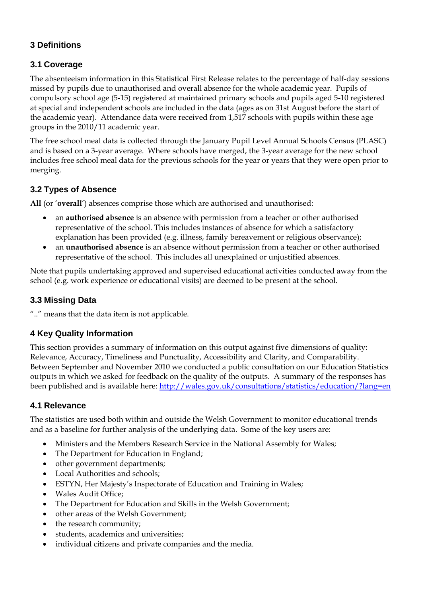## **3 Definitions**

# **3.1 Coverage**

The absenteeism information in this Statistical First Release relates to the percentage of half-day sessions missed by pupils due to unauthorised and overall absence for the whole academic year. Pupils of compulsory school age (5-15) registered at maintained primary schools and pupils aged 5-10 registered at special and independent schools are included in the data (ages as on 31st August before the start of the academic year). Attendance data were received from 1,517 schools with pupils within these age groups in the 2010/11 academic year.

The free school meal data is collected through the January Pupil Level Annual Schools Census (PLASC) and is based on a 3-year average. Where schools have merged, the 3-year average for the new school includes free school meal data for the previous schools for the year or years that they were open prior to merging.

# **3.2 Types of Absence**

**All** (or '**overall**') absences comprise those which are authorised and unauthorised:

- an **authorised absence** is an absence with permission from a teacher or other authorised representative of the school. This includes instances of absence for which a satisfactory explanation has been provided (e.g. illness, family bereavement or religious observance);
- an **unauthorised absence** is an absence without permission from a teacher or other authorised representative of the school. This includes all unexplained or unjustified absences.

Note that pupils undertaking approved and supervised educational activities conducted away from the school (e.g. work experience or educational visits) are deemed to be present at the school.

## **3.3 Missing Data**

".." means that the data item is not applicable.

## **4 Key Quality Information**

This section provides a summary of information on this output against five dimensions of quality: Relevance, Accuracy, Timeliness and Punctuality, Accessibility and Clarity, and Comparability. Between September and November 2010 we conducted a public consultation on our Education Statistics outputs in which we asked for feedback on the quality of the outputs. A summary of the responses has been published and is available here: <http://wales.gov.uk/consultations/statistics/education/?lang=en>

## **4.1 Relevance**

The statistics are used both within and outside the Welsh Government to monitor educational trends and as a baseline for further analysis of the underlying data. Some of the key users are:

- Ministers and the Members Research Service in the National Assembly for Wales;
- The Department for Education in England;
- other government departments;
- Local Authorities and schools;
- ESTYN, Her Majesty's Inspectorate of Education and Training in Wales;
- Wales Audit Office;
- The Department for Education and Skills in the Welsh Government;
- other areas of the Welsh Government;
- the research community;
- students, academics and universities;
- individual citizens and private companies and the media.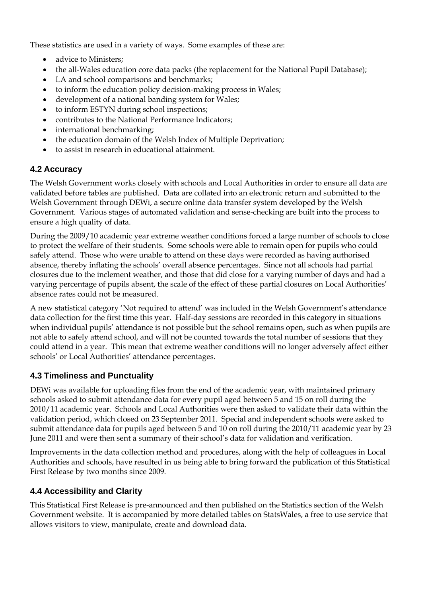These statistics are used in a variety of ways. Some examples of these are:

- advice to Ministers:
- the all-Wales education core data packs (the replacement for the National Pupil Database);
- LA and school comparisons and benchmarks;
- to inform the education policy decision-making process in Wales;
- development of a national banding system for Wales;
- to inform ESTYN during school inspections;
- contributes to the National Performance Indicators;
- international benchmarking;
- the education domain of the Welsh Index of Multiple Deprivation;
- to assist in research in educational attainment.

#### **4.2 Accuracy**

The Welsh Government works closely with schools and Local Authorities in order to ensure all data are validated before tables are published. Data are collated into an electronic return and submitted to the Welsh Government through DEWi, a secure online data transfer system developed by the Welsh Government. Various stages of automated validation and sense-checking are built into the process to ensure a high quality of data.

During the 2009/10 academic year extreme weather conditions forced a large number of schools to close to protect the welfare of their students. Some schools were able to remain open for pupils who could safely attend. Those who were unable to attend on these days were recorded as having authorised absence, thereby inflating the schools' overall absence percentages. Since not all schools had partial closures due to the inclement weather, and those that did close for a varying number of days and had a varying percentage of pupils absent, the scale of the effect of these partial closures on Local Authorities' absence rates could not be measured.

A new statistical category 'Not required to attend' was included in the Welsh Government's attendance data collection for the first time this year. Half-day sessions are recorded in this category in situations when individual pupils' attendance is not possible but the school remains open, such as when pupils are not able to safely attend school, and will not be counted towards the total number of sessions that they could attend in a year. This mean that extreme weather conditions will no longer adversely affect either schools' or Local Authorities' attendance percentages.

## **4.3 Timeliness and Punctuality**

DEWi was available for uploading files from the end of the academic year, with maintained primary schools asked to submit attendance data for every pupil aged between 5 and 15 on roll during the 2010/11 academic year. Schools and Local Authorities were then asked to validate their data within the validation period, which closed on 23 September 2011. Special and independent schools were asked to submit attendance data for pupils aged between 5 and 10 on roll during the 2010/11 academic year by 23 June 2011 and were then sent a summary of their school's data for validation and verification.

Improvements in the data collection method and procedures, along with the help of colleagues in Local Authorities and schools, have resulted in us being able to bring forward the publication of this Statistical First Release by two months since 2009.

## **4.4 Accessibility and Clarity**

This Statistical First Release is pre-announced and then published on the Statistics section of the Welsh Government website. It is accompanied by more detailed tables on StatsWales, a free to use service that allows visitors to view, manipulate, create and download data.